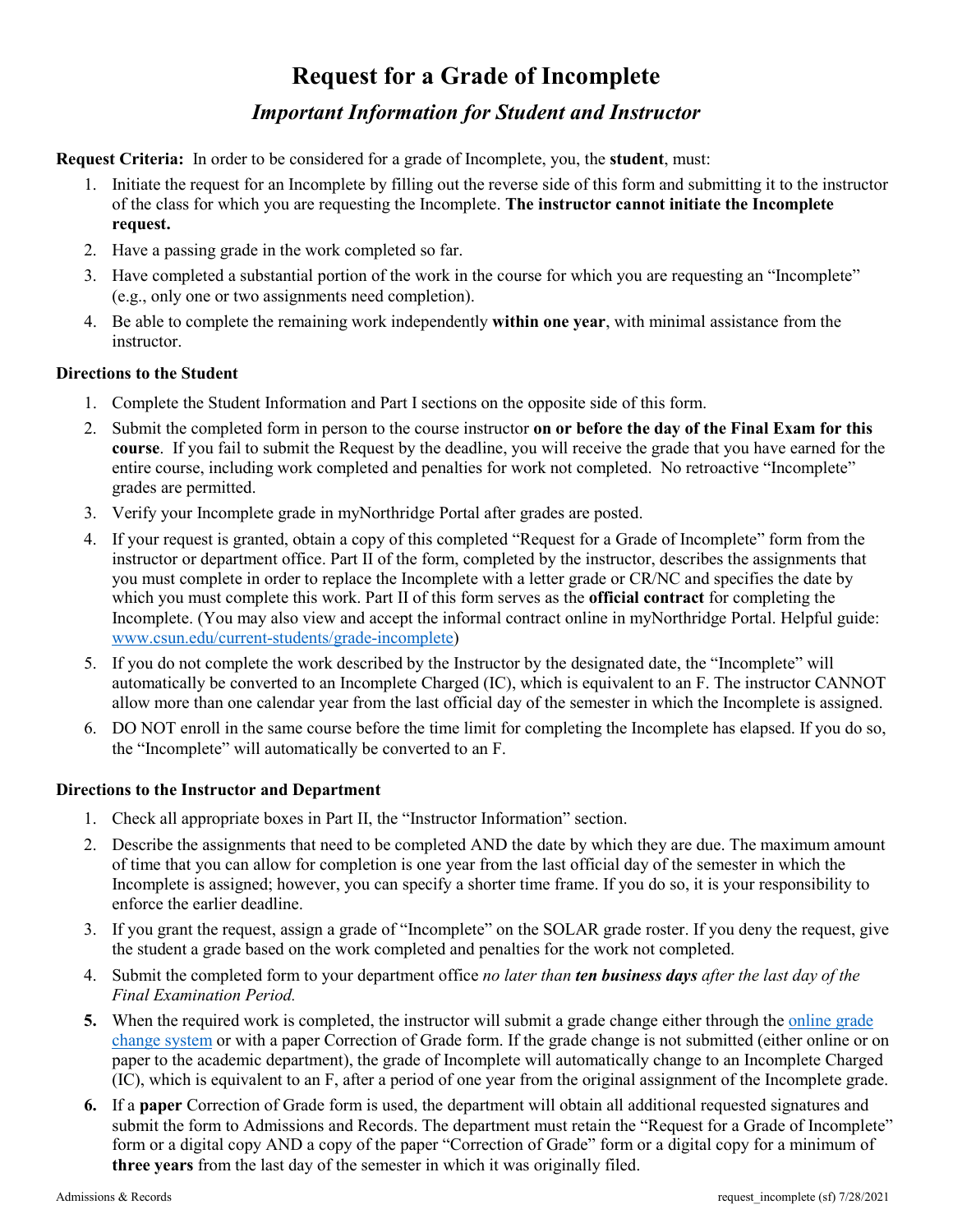# **Request for a Grade of Incomplete**  *Important Information for Student and Instructor*

**Request Criteria:** In order to be considered for a grade of Incomplete, you, the **student**, must:

- 1. Initiate the request for an Incomplete by filling out the reverse side of this form and submitting it to the instructor of the class for which you are requesting the Incomplete. **The instructor cannot initiate the Incomplete request.**
- 2. Have a passing grade in the work completed so far.
- 3. Have completed a substantial portion of the work in the course for which you are requesting an "Incomplete" (e.g., only one or two assignments need completion).
- 4. Be able to complete the remaining work independently **within one year**, with minimal assistance from the instructor.

### **Directions to the Student**

- 1. Complete the Student Information and Part I sections on the opposite side of this form.
- 2. Submit the completed form in person to the course instructor **on or before the day of the Final Exam for this course**. If you fail to submit the Request by the deadline, you will receive the grade that you have earned for the entire course, including work completed and penalties for work not completed. No retroactive "Incomplete" grades are permitted.
- 3. Verify your Incomplete grade in myNorthridge Portal after grades are posted.
- 4. If your request is granted, obtain a copy of this completed "Request for a Grade of Incomplete" form from the instructor or department office. Part II of the form, completed by the instructor, describes the assignments that you must complete in order to replace the Incomplete with a letter grade or CR/NC and specifies the date by which you must complete this work. Part II of this form serves as the **official contract** for completing the Incomplete. (You may also view and accept the informal contract online in myNorthridge Portal. Helpful guide: [www.csun.edu/current-students/grade-incomplete\)](http://www.csun.edu/current-students/grade-incomplete)
- 5. If you do not complete the work described by the Instructor by the designated date, the "Incomplete" will automatically be converted to an Incomplete Charged (IC), which is equivalent to an F. The instructor CANNOT allow more than one calendar year from the last official day of the semester in which the Incomplete is assigned.
- 6. DO NOT enroll in the same course before the time limit for completing the Incomplete has elapsed. If you do so, the "Incomplete" will automatically be converted to an F.

#### **Directions to the Instructor and Department**

- 1. Check all appropriate boxes in Part II, the "Instructor Information" section.
- 2. Describe the assignments that need to be completed AND the date by which they are due. The maximum amount of time that you can allow for completion is one year from the last official day of the semester in which the Incomplete is assigned; however, you can specify a shorter time frame. If you do so, it is your responsibility to enforce the earlier deadline.
- 3. If you grant the request, assign a grade of "Incomplete" on the SOLAR grade roster. If you deny the request, give the student a grade based on the work completed and penalties for the work not completed.
- 4. Submit the completed form to your department office *no later than ten business days after the last day of the Final Examination Period.*
- **5.** When the required work is completed, the instructor will submit a grade change either through th[e online grade](https://www.csun.edu/solarsupport/information-faculty-staff)  [change system](https://www.csun.edu/solarsupport/information-faculty-staff) or with a paper Correction of Grade form. If the grade change is not submitted (either online or on paper to the academic department), the grade of Incomplete will automatically change to an Incomplete Charged (IC), which is equivalent to an F, after a period of one year from the original assignment of the Incomplete grade.
- **6.** If a **paper** Correction of Grade form is used, the department will obtain all additional requested signatures and submit the form to Admissions and Records. The department must retain the "Request for a Grade of Incomplete" form or a digital copy AND a copy of the paper "Correction of Grade" form or a digital copy for a minimum of **three years** from the last day of the semester in which it was originally filed.